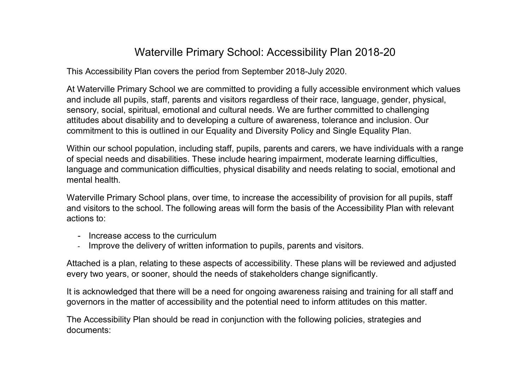## Waterville Primary School: Accessibility Plan 2018-20

This Accessibility Plan covers the period from September 2018-July 2020.

At Waterville Primary School we are committed to providing a fully accessible environment which values and include all pupils, staff, parents and visitors regardless of their race, language, gender, physical, sensory, social, spiritual, emotional and cultural needs. We are further committed to challenging attitudes about disability and to developing a culture of awareness, tolerance and inclusion. Our commitment to this is outlined in our Equality and Diversity Policy and Single Equality Plan.

Within our school population, including staff, pupils, parents and carers, we have individuals with a range of special needs and disabilities. These include hearing impairment, moderate learning difficulties, language and communication difficulties, physical disability and needs relating to social, emotional and mental health.

Waterville Primary School plans, over time, to increase the accessibility of provision for all pupils, staff and visitors to the school. The following areas will form the basis of the Accessibility Plan with relevant actions to:

- Increase access to the curriculum
- Improve the delivery of written information to pupils, parents and visitors.

Attached is a plan, relating to these aspects of accessibility. These plans will be reviewed and adjusted every two years, or sooner, should the needs of stakeholders change significantly.

It is acknowledged that there will be a need for ongoing awareness raising and training for all staff and governors in the matter of accessibility and the potential need to inform attitudes on this matter.

The Accessibility Plan should be read in conjunction with the following policies, strategies and documents: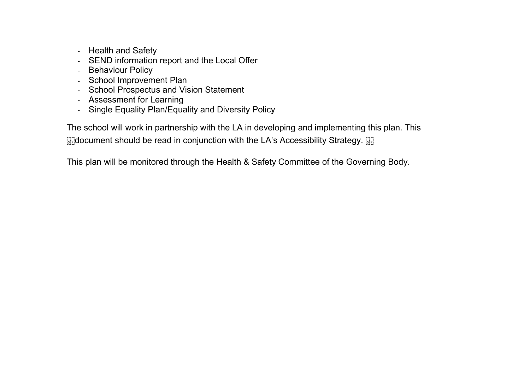- Health and Safety
- SEND information report and the Local Offer
- Behaviour Policy
- School Improvement Plan
- School Prospectus and Vision Statement
- Assessment for Learning
- Single Equality Plan/Equality and Diversity Policy

The school will work in partnership with the LA in developing and implementing this plan. This  $\mathbb{R}$  document should be read in conjunction with the LA's Accessibility Strategy.  $\mathbb{R}$ 

This plan will be monitored through the Health & Safety Committee of the Governing Body.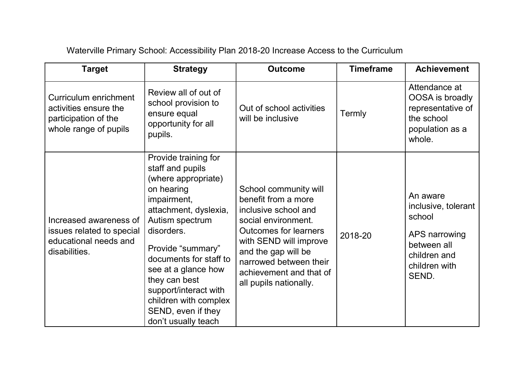| <b>Target</b>                                                                                   | <b>Strategy</b>                                                                                                                                                                                                                                                                                                                              | <b>Outcome</b>                                                                                                                                                                                                                                              | <b>Timeframe</b> | <b>Achievement</b>                                                                                                  |
|-------------------------------------------------------------------------------------------------|----------------------------------------------------------------------------------------------------------------------------------------------------------------------------------------------------------------------------------------------------------------------------------------------------------------------------------------------|-------------------------------------------------------------------------------------------------------------------------------------------------------------------------------------------------------------------------------------------------------------|------------------|---------------------------------------------------------------------------------------------------------------------|
| Curriculum enrichment<br>activities ensure the<br>participation of the<br>whole range of pupils | Review all of out of<br>school provision to<br>ensure equal<br>opportunity for all<br>pupils.                                                                                                                                                                                                                                                | Out of school activities<br>will be inclusive                                                                                                                                                                                                               | Termly           | Attendance at<br>OOSA is broadly<br>representative of<br>the school<br>population as a<br>whole.                    |
| Increased awareness of<br>issues related to special<br>educational needs and<br>disabilities.   | Provide training for<br>staff and pupils<br>(where appropriate)<br>on hearing<br>impairment,<br>attachment, dyslexia,<br>Autism spectrum<br>disorders.<br>Provide "summary"<br>documents for staff to<br>see at a glance how<br>they can best<br>support/interact with<br>children with complex<br>SEND, even if they<br>don't usually teach | School community will<br>benefit from a more<br>inclusive school and<br>social environment.<br><b>Outcomes for learners</b><br>with SEND will improve<br>and the gap will be<br>narrowed between their<br>achievement and that of<br>all pupils nationally. | 2018-20          | An aware<br>inclusive, tolerant<br>school<br>APS narrowing<br>between all<br>children and<br>children with<br>SEND. |

## Waterville Primary School: Accessibility Plan 2018-20 Increase Access to the Curriculum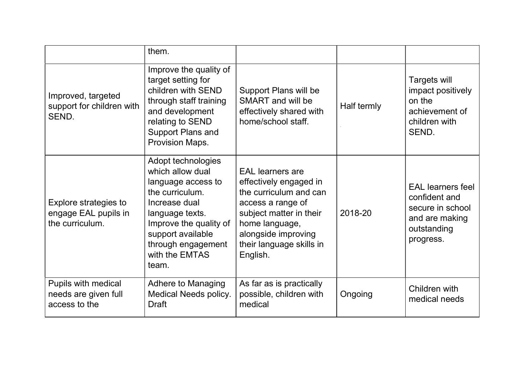|                                                                  | them.                                                                                                                                                                                                               |                                                                                                                                                                                                              |             |                                                                                                             |
|------------------------------------------------------------------|---------------------------------------------------------------------------------------------------------------------------------------------------------------------------------------------------------------------|--------------------------------------------------------------------------------------------------------------------------------------------------------------------------------------------------------------|-------------|-------------------------------------------------------------------------------------------------------------|
| Improved, targeted<br>support for children with<br>SEND.         | Improve the quality of<br>target setting for<br>children with SEND<br>through staff training<br>and development<br>relating to SEND<br><b>Support Plans and</b><br>Provision Maps.                                  | Support Plans will be<br><b>SMART</b> and will be<br>effectively shared with<br>home/school staff.                                                                                                           | Half termly | Targets will<br>impact positively<br>on the<br>achievement of<br>children with<br>SEND.                     |
| Explore strategies to<br>engage EAL pupils in<br>the curriculum. | Adopt technologies<br>which allow dual<br>language access to<br>the curriculum.<br>Increase dual<br>language texts.<br>Improve the quality of<br>support available<br>through engagement<br>with the EMTAS<br>team. | <b>EAL</b> learners are<br>effectively engaged in<br>the curriculum and can<br>access a range of<br>subject matter in their<br>home language,<br>alongside improving<br>their language skills in<br>English. | 2018-20     | <b>EAL</b> learners feel<br>confident and<br>secure in school<br>and are making<br>outstanding<br>progress. |
| Pupils with medical<br>needs are given full<br>access to the     | Adhere to Managing<br><b>Medical Needs policy.</b><br><b>Draft</b>                                                                                                                                                  | As far as is practically<br>possible, children with<br>medical                                                                                                                                               | Ongoing     | Children with<br>medical needs                                                                              |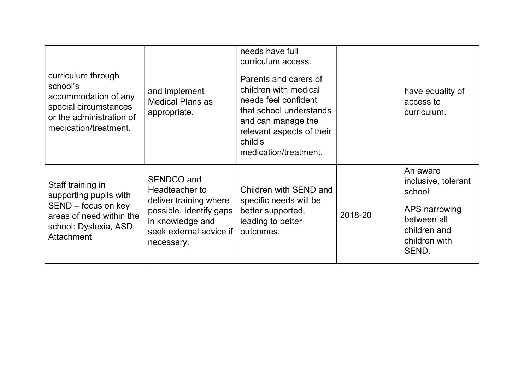| curriculum through<br>school's<br>accommodation of any<br>special circumstances<br>or the administration of<br>medication/treatment.   | and implement<br><b>Medical Plans as</b><br>appropriate.                                                                                       | needs have full<br>curriculum access.<br>Parents and carers of<br>children with medical<br>needs feel confident<br>that school understands<br>and can manage the<br>relevant aspects of their<br>child's<br>medication/treatment. |         | have equality of<br>access to<br>curriculum.                                                                        |
|----------------------------------------------------------------------------------------------------------------------------------------|------------------------------------------------------------------------------------------------------------------------------------------------|-----------------------------------------------------------------------------------------------------------------------------------------------------------------------------------------------------------------------------------|---------|---------------------------------------------------------------------------------------------------------------------|
| Staff training in<br>supporting pupils with<br>SEND - focus on key<br>areas of need within the<br>school: Dyslexia, ASD,<br>Attachment | SENDCO and<br>Headteacher to<br>deliver training where<br>possible. Identify gaps<br>in knowledge and<br>seek external advice if<br>necessary. | Children with SEND and<br>specific needs will be<br>better supported,<br>leading to better<br>outcomes.                                                                                                                           | 2018-20 | An aware<br>inclusive, tolerant<br>school<br>APS narrowing<br>between all<br>children and<br>children with<br>SEND. |